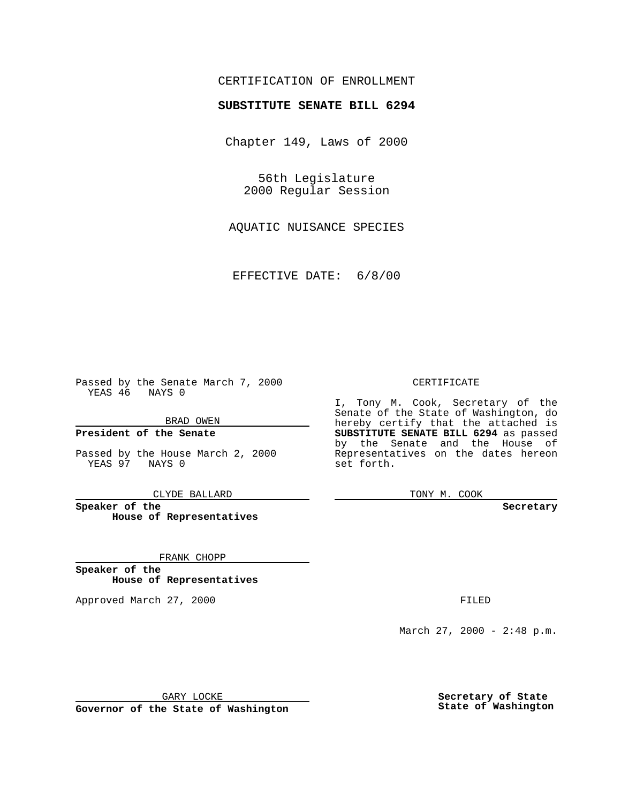## CERTIFICATION OF ENROLLMENT

# **SUBSTITUTE SENATE BILL 6294**

Chapter 149, Laws of 2000

56th Legislature 2000 Regular Session

AQUATIC NUISANCE SPECIES

EFFECTIVE DATE: 6/8/00

Passed by the Senate March 7, 2000 YEAS 46 NAYS 0

BRAD OWEN

**President of the Senate**

Passed by the House March 2, 2000 YEAS 97 NAYS 0

CLYDE BALLARD

**Speaker of the House of Representatives**

FRANK CHOPP

**Speaker of the House of Representatives**

Approved March 27, 2000 FILED

#### CERTIFICATE

I, Tony M. Cook, Secretary of the Senate of the State of Washington, do hereby certify that the attached is **SUBSTITUTE SENATE BILL 6294** as passed by the Senate and the House of Representatives on the dates hereon set forth.

TONY M. COOK

**Secretary**

March 27, 2000 - 2:48 p.m.

GARY LOCKE

**Governor of the State of Washington**

**Secretary of State State of Washington**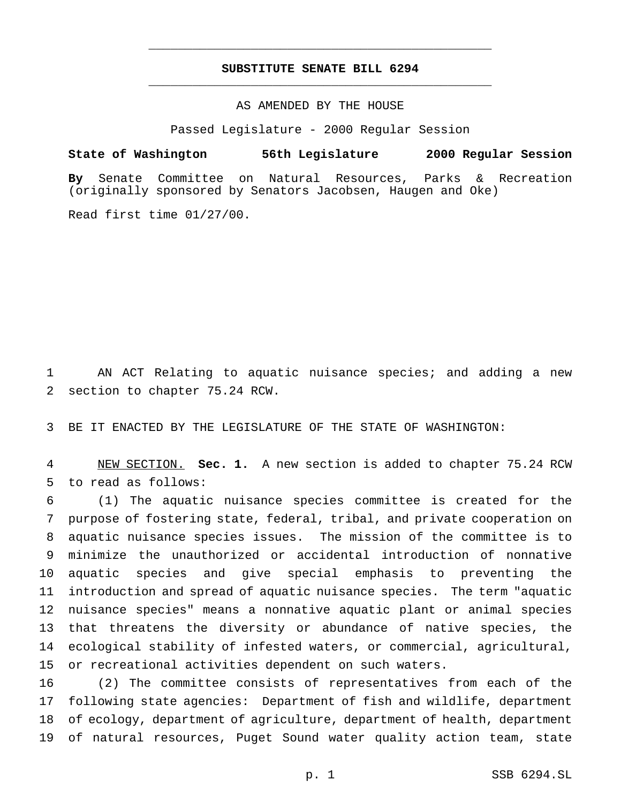## **SUBSTITUTE SENATE BILL 6294** \_\_\_\_\_\_\_\_\_\_\_\_\_\_\_\_\_\_\_\_\_\_\_\_\_\_\_\_\_\_\_\_\_\_\_\_\_\_\_\_\_\_\_\_\_\_\_

\_\_\_\_\_\_\_\_\_\_\_\_\_\_\_\_\_\_\_\_\_\_\_\_\_\_\_\_\_\_\_\_\_\_\_\_\_\_\_\_\_\_\_\_\_\_\_

### AS AMENDED BY THE HOUSE

Passed Legislature - 2000 Regular Session

#### **State of Washington 56th Legislature 2000 Regular Session**

**By** Senate Committee on Natural Resources, Parks & Recreation (originally sponsored by Senators Jacobsen, Haugen and Oke)

Read first time 01/27/00.

1 AN ACT Relating to aquatic nuisance species; and adding a new section to chapter 75.24 RCW.

BE IT ENACTED BY THE LEGISLATURE OF THE STATE OF WASHINGTON:

 NEW SECTION. **Sec. 1.** A new section is added to chapter 75.24 RCW to read as follows:

 (1) The aquatic nuisance species committee is created for the purpose of fostering state, federal, tribal, and private cooperation on aquatic nuisance species issues. The mission of the committee is to minimize the unauthorized or accidental introduction of nonnative aquatic species and give special emphasis to preventing the introduction and spread of aquatic nuisance species. The term "aquatic nuisance species" means a nonnative aquatic plant or animal species that threatens the diversity or abundance of native species, the ecological stability of infested waters, or commercial, agricultural, or recreational activities dependent on such waters.

 (2) The committee consists of representatives from each of the following state agencies: Department of fish and wildlife, department of ecology, department of agriculture, department of health, department of natural resources, Puget Sound water quality action team, state